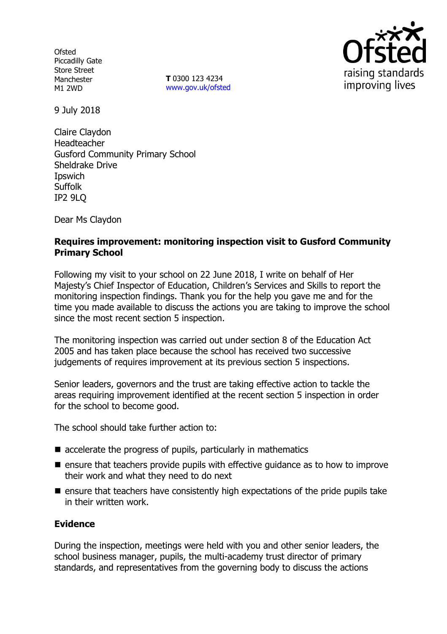**Ofsted** Piccadilly Gate Store Street Manchester M1 2WD

**T** 0300 123 4234 www.gov.uk/ofsted



9 July 2018

Claire Claydon Headteacher Gusford Community Primary School Sheldrake Drive **I**pswich **Suffolk** IP2 9LQ

Dear Ms Claydon

### **Requires improvement: monitoring inspection visit to Gusford Community Primary School**

Following my visit to your school on 22 June 2018, I write on behalf of Her Majesty's Chief Inspector of Education, Children's Services and Skills to report the monitoring inspection findings. Thank you for the help you gave me and for the time you made available to discuss the actions you are taking to improve the school since the most recent section 5 inspection.

The monitoring inspection was carried out under section 8 of the Education Act 2005 and has taken place because the school has received two successive judgements of requires improvement at its previous section 5 inspections.

Senior leaders, governors and the trust are taking effective action to tackle the areas requiring improvement identified at the recent section 5 inspection in order for the school to become good.

The school should take further action to:

- $\blacksquare$  accelerate the progress of pupils, particularly in mathematics
- $\blacksquare$  ensure that teachers provide pupils with effective guidance as to how to improve their work and what they need to do next
- $\blacksquare$  ensure that teachers have consistently high expectations of the pride pupils take in their written work.

### **Evidence**

During the inspection, meetings were held with you and other senior leaders, the school business manager, pupils, the multi-academy trust director of primary standards, and representatives from the governing body to discuss the actions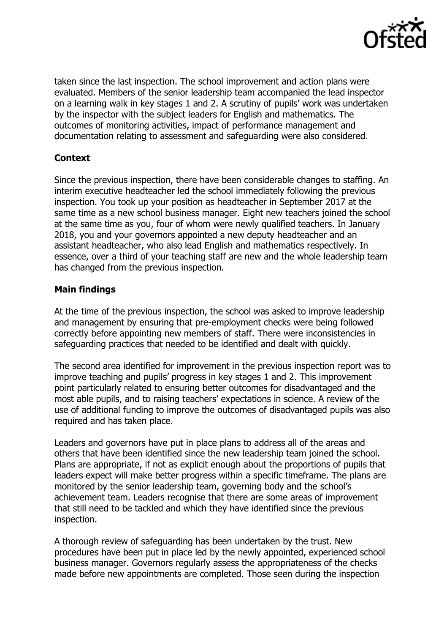

taken since the last inspection. The school improvement and action plans were evaluated. Members of the senior leadership team accompanied the lead inspector on a learning walk in key stages 1 and 2. A scrutiny of pupils' work was undertaken by the inspector with the subject leaders for English and mathematics. The outcomes of monitoring activities, impact of performance management and documentation relating to assessment and safeguarding were also considered.

# **Context**

Since the previous inspection, there have been considerable changes to staffing. An interim executive headteacher led the school immediately following the previous inspection. You took up your position as headteacher in September 2017 at the same time as a new school business manager. Eight new teachers joined the school at the same time as you, four of whom were newly qualified teachers. In January 2018, you and your governors appointed a new deputy headteacher and an assistant headteacher, who also lead English and mathematics respectively. In essence, over a third of your teaching staff are new and the whole leadership team has changed from the previous inspection.

## **Main findings**

At the time of the previous inspection, the school was asked to improve leadership and management by ensuring that pre-employment checks were being followed correctly before appointing new members of staff. There were inconsistencies in safeguarding practices that needed to be identified and dealt with quickly.

The second area identified for improvement in the previous inspection report was to improve teaching and pupils' progress in key stages 1 and 2. This improvement point particularly related to ensuring better outcomes for disadvantaged and the most able pupils, and to raising teachers' expectations in science. A review of the use of additional funding to improve the outcomes of disadvantaged pupils was also required and has taken place.

Leaders and governors have put in place plans to address all of the areas and others that have been identified since the new leadership team joined the school. Plans are appropriate, if not as explicit enough about the proportions of pupils that leaders expect will make better progress within a specific timeframe. The plans are monitored by the senior leadership team, governing body and the school's achievement team. Leaders recognise that there are some areas of improvement that still need to be tackled and which they have identified since the previous inspection.

A thorough review of safeguarding has been undertaken by the trust. New procedures have been put in place led by the newly appointed, experienced school business manager. Governors regularly assess the appropriateness of the checks made before new appointments are completed. Those seen during the inspection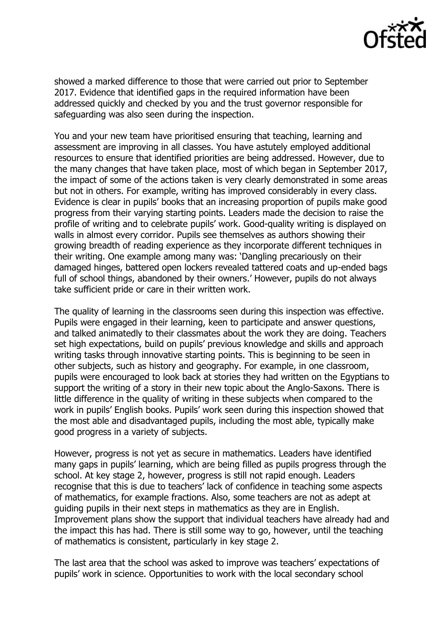

showed a marked difference to those that were carried out prior to September 2017. Evidence that identified gaps in the required information have been addressed quickly and checked by you and the trust governor responsible for safeguarding was also seen during the inspection.

You and your new team have prioritised ensuring that teaching, learning and assessment are improving in all classes. You have astutely employed additional resources to ensure that identified priorities are being addressed. However, due to the many changes that have taken place, most of which began in September 2017, the impact of some of the actions taken is very clearly demonstrated in some areas but not in others. For example, writing has improved considerably in every class. Evidence is clear in pupils' books that an increasing proportion of pupils make good progress from their varying starting points. Leaders made the decision to raise the profile of writing and to celebrate pupils' work. Good-quality writing is displayed on walls in almost every corridor. Pupils see themselves as authors showing their growing breadth of reading experience as they incorporate different techniques in their writing. One example among many was: 'Dangling precariously on their damaged hinges, battered open lockers revealed tattered coats and up-ended bags full of school things, abandoned by their owners.' However, pupils do not always take sufficient pride or care in their written work.

The quality of learning in the classrooms seen during this inspection was effective. Pupils were engaged in their learning, keen to participate and answer questions, and talked animatedly to their classmates about the work they are doing. Teachers set high expectations, build on pupils' previous knowledge and skills and approach writing tasks through innovative starting points. This is beginning to be seen in other subjects, such as history and geography. For example, in one classroom, pupils were encouraged to look back at stories they had written on the Egyptians to support the writing of a story in their new topic about the Anglo-Saxons. There is little difference in the quality of writing in these subjects when compared to the work in pupils' English books. Pupils' work seen during this inspection showed that the most able and disadvantaged pupils, including the most able, typically make good progress in a variety of subjects.

However, progress is not yet as secure in mathematics. Leaders have identified many gaps in pupils' learning, which are being filled as pupils progress through the school. At key stage 2, however, progress is still not rapid enough. Leaders recognise that this is due to teachers' lack of confidence in teaching some aspects of mathematics, for example fractions. Also, some teachers are not as adept at guiding pupils in their next steps in mathematics as they are in English. Improvement plans show the support that individual teachers have already had and the impact this has had. There is still some way to go, however, until the teaching of mathematics is consistent, particularly in key stage 2.

The last area that the school was asked to improve was teachers' expectations of pupils' work in science. Opportunities to work with the local secondary school